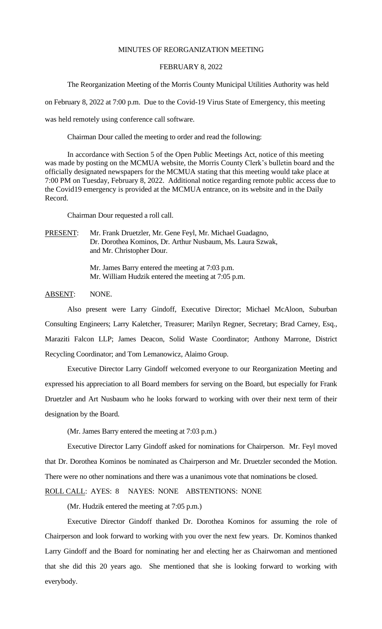### MINUTES OF REORGANIZATION MEETING

#### FEBRUARY 8, 2022

The Reorganization Meeting of the Morris County Municipal Utilities Authority was held

on February 8, 2022 at 7:00 p.m. Due to the Covid-19 Virus State of Emergency, this meeting

was held remotely using conference call software.

Chairman Dour called the meeting to order and read the following:

In accordance with Section 5 of the Open Public Meetings Act, notice of this meeting was made by posting on the MCMUA website, the Morris County Clerk's bulletin board and the officially designated newspapers for the MCMUA stating that this meeting would take place at 7:00 PM on Tuesday, February 8, 2022. Additional notice regarding remote public access due to the Covid19 emergency is provided at the MCMUA entrance, on its website and in the Daily Record.

Chairman Dour requested a roll call.

PRESENT: Mr. Frank Druetzler, Mr. Gene Feyl, Mr. Michael Guadagno, Dr. Dorothea Kominos, Dr. Arthur Nusbaum, Ms. Laura Szwak, and Mr. Christopher Dour.

> Mr. James Barry entered the meeting at 7:03 p.m. Mr. William Hudzik entered the meeting at 7:05 p.m.

#### ABSENT: NONE.

Also present were Larry Gindoff, Executive Director; Michael McAloon, Suburban Consulting Engineers; Larry Kaletcher, Treasurer; Marilyn Regner, Secretary; Brad Carney, Esq., Maraziti Falcon LLP; James Deacon, Solid Waste Coordinator; Anthony Marrone, District Recycling Coordinator; and Tom Lemanowicz, Alaimo Group.

Executive Director Larry Gindoff welcomed everyone to our Reorganization Meeting and expressed his appreciation to all Board members for serving on the Board, but especially for Frank Druetzler and Art Nusbaum who he looks forward to working with over their next term of their designation by the Board.

(Mr. James Barry entered the meeting at 7:03 p.m.)

Executive Director Larry Gindoff asked for nominations for Chairperson. Mr. Feyl moved that Dr. Dorothea Kominos be nominated as Chairperson and Mr. Druetzler seconded the Motion. There were no other nominations and there was a unanimous vote that nominations be closed.

ROLL CALL: AYES: 8 NAYES: NONE ABSTENTIONS: NONE

(Mr. Hudzik entered the meeting at 7:05 p.m.)

Executive Director Gindoff thanked Dr. Dorothea Kominos for assuming the role of Chairperson and look forward to working with you over the next few years. Dr. Kominos thanked Larry Gindoff and the Board for nominating her and electing her as Chairwoman and mentioned that she did this 20 years ago. She mentioned that she is looking forward to working with everybody.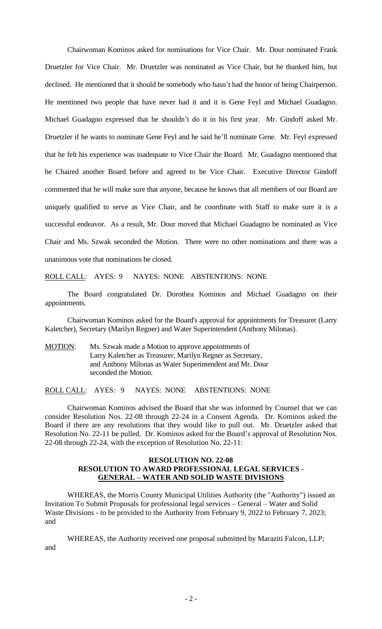Chairwoman Kominos asked for nominations for Vice Chair. Mr. Dour nominated Frank Druetzler for Vice Chair. Mr. Druetzler was nominated as Vice Chair, but he thanked him, but declined. He mentioned that it should be somebody who hasn't had the honor of being Chairperson. He mentioned two people that have never had it and it is Gene Feyl and Michael Guadagno. Michael Guadagno expressed that he shouldn't do it in his first year. Mr. Gindoff asked Mr. Druetzler if he wants to nominate Gene Feyl and he said he'll nominate Gene. Mr. Feyl expressed that he felt his experience was inadequate to Vice Chair the Board. Mr. Guadagno mentioned that he Chaired another Board before and agreed to be Vice Chair. Executive Director Gindoff commented that he will make sure that anyone, because he knows that all members of our Board are uniquely qualified to serve as Vice Chair, and he coordinate with Staff to make sure it is a successful endeavor. As a result, Mr. Dour moved that Michael Guadagno be nominated as Vice Chair and Ms. Szwak seconded the Motion. There were no other nominations and there was a unanimous vote that nominations be closed.

ROLL CALL: AYES: 9 NAYES: NONE ABSTENTIONS: NONE

The Board congratulated Dr. Dorothea Kominos and Michael Guadagno on their appointments.

Chairwoman Kominos asked for the Board's approval for appointments for Treasurer (Larry Kaletcher), Secretary (Marilyn Regner) and Water Superintendent (Anthony Milonas).

MOTION: Ms. Szwak made a Motion to approve appointments of Larry Kaletcher as Treasurer, Marilyn Regner as Secretary, and Anthony Milonas as Water Superintendent and Mr. Dour seconded the Motion.

ROLL CALL: AYES: 9 NAYES: NONE ABSTENTIONS: NONE

Chairwoman Kominos advised the Board that she was informed by Counsel that we can consider Resolution Nos. 22-08 through 22-24 in a Consent Agenda. Dr. Kominos asked the Board if there are any resolutions that they would like to pull out. Mr. Druetzler asked that Resolution No. 22-11 be pulled. Dr. Kominos asked for the Board's approval of Resolution Nos. 22-08 through 22-24, with the exception of Resolution No. 22-11:

#### **RESOLUTION NO. 22-08 RESOLUTION TO AWARD PROFESSIONAL LEGAL SERVICES - GENERAL – WATER AND SOLID WASTE DIVISIONS**

WHEREAS, the Morris County Municipal Utilities Authority (the "Authority") issued an Invitation To Submit Proposals for professional legal services – General – Water and Solid Waste Divisions - to be provided to the Authority from February 9, 2022 to February 7, 2023; and

WHEREAS, the Authority received one proposal submitted by Maraziti Falcon, LLP; and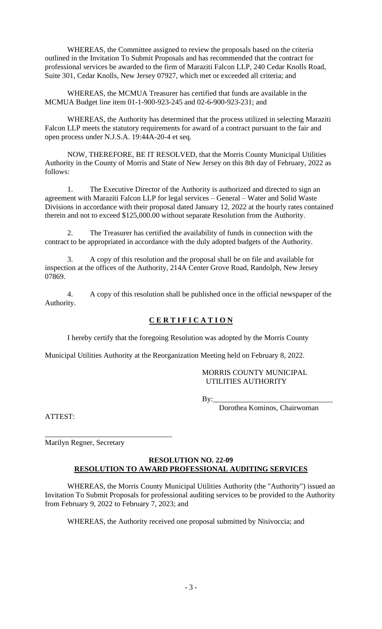WHEREAS, the Committee assigned to review the proposals based on the criteria outlined in the Invitation To Submit Proposals and has recommended that the contract for professional services be awarded to the firm of Maraziti Falcon LLP, 240 Cedar Knolls Road, Suite 301, Cedar Knolls, New Jersey 07927, which met or exceeded all criteria; and

WHEREAS, the MCMUA Treasurer has certified that funds are available in the MCMUA Budget line item 01-1-900-923-245 and 02-6-900-923-231; and

WHEREAS, the Authority has determined that the process utilized in selecting Maraziti Falcon LLP meets the statutory requirements for award of a contract pursuant to the fair and open process under N.J.S.A. 19:44A-20-4 et seq.

NOW, THEREFORE, BE IT RESOLVED, that the Morris County Municipal Utilities Authority in the County of Morris and State of New Jersey on this 8th day of February, 2022 as follows:

1. The Executive Director of the Authority is authorized and directed to sign an agreement with Maraziti Falcon LLP for legal services – General – Water and Solid Waste Divisions in accordance with their proposal dated January 12, 2022 at the hourly rates contained therein and not to exceed \$125,000.00 without separate Resolution from the Authority.

2. The Treasurer has certified the availability of funds in connection with the contract to be appropriated in accordance with the duly adopted budgets of the Authority.

3. A copy of this resolution and the proposal shall be on file and available for inspection at the offices of the Authority, 214A Center Grove Road, Randolph, New Jersey 07869.

4. A copy of this resolution shall be published once in the official newspaper of the Authority.

## **C E R T I F I C A T I O N**

I hereby certify that the foregoing Resolution was adopted by the Morris County

Municipal Utilities Authority at the Reorganization Meeting held on February 8, 2022.

### MORRIS COUNTY MUNICIPAL UTILITIES AUTHORITY

By:\_\_\_\_\_\_\_\_\_\_\_\_\_\_\_\_\_\_\_\_\_\_\_\_\_\_\_\_\_\_\_\_

Dorothea Kominos, Chairwoman

ATTEST:

Marilyn Regner, Secretary

\_\_\_\_\_\_\_\_\_\_\_\_\_\_\_\_\_\_\_\_\_\_\_\_\_\_\_\_\_\_\_\_\_\_

### **RESOLUTION NO. 22-09 RESOLUTION TO AWARD PROFESSIONAL AUDITING SERVICES**

WHEREAS, the Morris County Municipal Utilities Authority (the "Authority") issued an Invitation To Submit Proposals for professional auditing services to be provided to the Authority from February 9, 2022 to February 7, 2023; and

WHEREAS, the Authority received one proposal submitted by Nisivoccia; and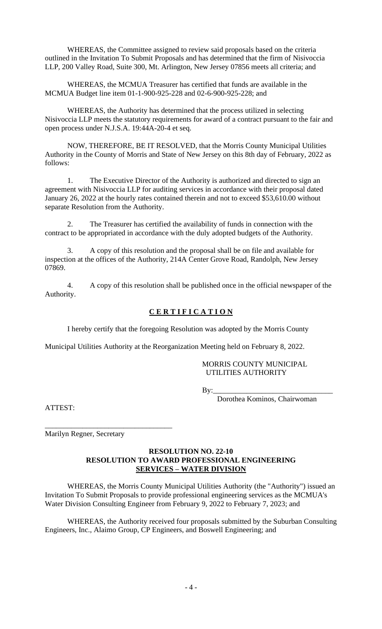WHEREAS, the Committee assigned to review said proposals based on the criteria outlined in the Invitation To Submit Proposals and has determined that the firm of Nisivoccia LLP, 200 Valley Road, Suite 300, Mt. Arlington, New Jersey 07856 meets all criteria; and

WHEREAS, the MCMUA Treasurer has certified that funds are available in the MCMUA Budget line item 01-1-900-925-228 and 02-6-900-925-228; and

WHEREAS, the Authority has determined that the process utilized in selecting Nisivoccia LLP meets the statutory requirements for award of a contract pursuant to the fair and open process under N.J.S.A. 19:44A-20-4 et seq.

NOW, THEREFORE, BE IT RESOLVED, that the Morris County Municipal Utilities Authority in the County of Morris and State of New Jersey on this 8th day of February, 2022 as follows:

1. The Executive Director of the Authority is authorized and directed to sign an agreement with Nisivoccia LLP for auditing services in accordance with their proposal dated January 26, 2022 at the hourly rates contained therein and not to exceed \$53,610.00 without separate Resolution from the Authority.

2. The Treasurer has certified the availability of funds in connection with the contract to be appropriated in accordance with the duly adopted budgets of the Authority.

3. A copy of this resolution and the proposal shall be on file and available for inspection at the offices of the Authority, 214A Center Grove Road, Randolph, New Jersey 07869.

4. A copy of this resolution shall be published once in the official newspaper of the Authority.

## **C E R T I F I C A T I O N**

I hereby certify that the foregoing Resolution was adopted by the Morris County

Municipal Utilities Authority at the Reorganization Meeting held on February 8, 2022.

#### MORRIS COUNTY MUNICIPAL UTILITIES AUTHORITY

By:\_\_\_\_\_\_\_\_\_\_\_\_\_\_\_\_\_\_\_\_\_\_\_\_\_\_\_\_\_\_\_\_

Dorothea Kominos, Chairwoman

ATTEST:

Marilyn Regner, Secretary

\_\_\_\_\_\_\_\_\_\_\_\_\_\_\_\_\_\_\_\_\_\_\_\_\_\_\_\_\_\_\_\_\_\_

### **RESOLUTION NO. 22-10 RESOLUTION TO AWARD PROFESSIONAL ENGINEERING SERVICES – WATER DIVISION**

WHEREAS, the Morris County Municipal Utilities Authority (the "Authority") issued an Invitation To Submit Proposals to provide professional engineering services as the MCMUA's Water Division Consulting Engineer from February 9, 2022 to February 7, 2023; and

WHEREAS, the Authority received four proposals submitted by the Suburban Consulting Engineers, Inc., Alaimo Group, CP Engineers, and Boswell Engineering; and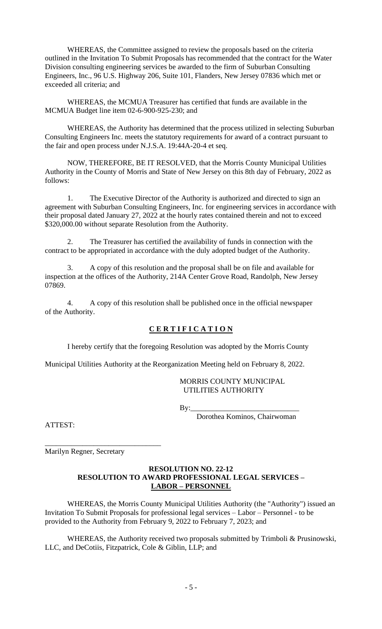WHEREAS, the Committee assigned to review the proposals based on the criteria outlined in the Invitation To Submit Proposals has recommended that the contract for the Water Division consulting engineering services be awarded to the firm of Suburban Consulting Engineers, Inc., 96 U.S. Highway 206, Suite 101, Flanders, New Jersey 07836 which met or exceeded all criteria; and

WHEREAS, the MCMUA Treasurer has certified that funds are available in the MCMUA Budget line item 02-6-900-925-230; and

WHEREAS, the Authority has determined that the process utilized in selecting Suburban Consulting Engineers Inc. meets the statutory requirements for award of a contract pursuant to the fair and open process under N.J.S.A. 19:44A-20-4 et seq.

NOW, THEREFORE, BE IT RESOLVED, that the Morris County Municipal Utilities Authority in the County of Morris and State of New Jersey on this 8th day of February, 2022 as follows:

1. The Executive Director of the Authority is authorized and directed to sign an agreement with Suburban Consulting Engineers, Inc. for engineering services in accordance with their proposal dated January 27, 2022 at the hourly rates contained therein and not to exceed \$320,000.00 without separate Resolution from the Authority.

2. The Treasurer has certified the availability of funds in connection with the contract to be appropriated in accordance with the duly adopted budget of the Authority.

3. A copy of this resolution and the proposal shall be on file and available for inspection at the offices of the Authority, 214A Center Grove Road, Randolph, New Jersey 07869.

4. A copy of this resolution shall be published once in the official newspaper of the Authority.

## **C E R T I F I C A T I O N**

I hereby certify that the foregoing Resolution was adopted by the Morris County

Municipal Utilities Authority at the Reorganization Meeting held on February 8, 2022.

MORRIS COUNTY MUNICIPAL UTILITIES AUTHORITY

 $By:$ 

Dorothea Kominos, Chairwoman

ATTEST:

\_\_\_\_\_\_\_\_\_\_\_\_\_\_\_\_\_\_\_\_\_\_\_\_\_\_\_\_\_\_\_ Marilyn Regner, Secretary

#### **RESOLUTION NO. 22-12 RESOLUTION TO AWARD PROFESSIONAL LEGAL SERVICES – LABOR – PERSONNEL**

WHEREAS, the Morris County Municipal Utilities Authority (the "Authority") issued an Invitation To Submit Proposals for professional legal services – Labor – Personnel - to be provided to the Authority from February 9, 2022 to February 7, 2023; and

WHEREAS, the Authority received two proposals submitted by Trimboli & Prusinowski, LLC, and DeCotiis, Fitzpatrick, Cole & Giblin, LLP; and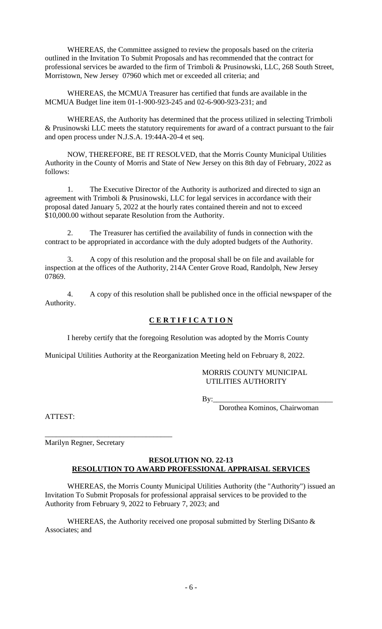WHEREAS, the Committee assigned to review the proposals based on the criteria outlined in the Invitation To Submit Proposals and has recommended that the contract for professional services be awarded to the firm of Trimboli & Prusinowski, LLC, 268 South Street, Morristown, New Jersey 07960 which met or exceeded all criteria; and

WHEREAS, the MCMUA Treasurer has certified that funds are available in the MCMUA Budget line item 01-1-900-923-245 and 02-6-900-923-231; and

WHEREAS, the Authority has determined that the process utilized in selecting Trimboli & Prusinowski LLC meets the statutory requirements for award of a contract pursuant to the fair and open process under N.J.S.A. 19:44A-20-4 et seq.

NOW, THEREFORE, BE IT RESOLVED, that the Morris County Municipal Utilities Authority in the County of Morris and State of New Jersey on this 8th day of February, 2022 as follows:

1. The Executive Director of the Authority is authorized and directed to sign an agreement with Trimboli & Prusinowski, LLC for legal services in accordance with their proposal dated January 5, 2022 at the hourly rates contained therein and not to exceed \$10,000.00 without separate Resolution from the Authority.

2. The Treasurer has certified the availability of funds in connection with the contract to be appropriated in accordance with the duly adopted budgets of the Authority.

3. A copy of this resolution and the proposal shall be on file and available for inspection at the offices of the Authority, 214A Center Grove Road, Randolph, New Jersey 07869.

4. A copy of this resolution shall be published once in the official newspaper of the Authority.

## **C E R T I F I C A T I O N**

I hereby certify that the foregoing Resolution was adopted by the Morris County

Municipal Utilities Authority at the Reorganization Meeting held on February 8, 2022.

#### MORRIS COUNTY MUNICIPAL UTILITIES AUTHORITY

By:\_\_\_\_\_\_\_\_\_\_\_\_\_\_\_\_\_\_\_\_\_\_\_\_\_\_\_\_\_\_\_\_

Dorothea Kominos, Chairwoman

ATTEST:

Marilyn Regner, Secretary

\_\_\_\_\_\_\_\_\_\_\_\_\_\_\_\_\_\_\_\_\_\_\_\_\_\_\_\_\_\_\_\_\_\_

## **RESOLUTION NO. 22-13 RESOLUTION TO AWARD PROFESSIONAL APPRAISAL SERVICES**

WHEREAS, the Morris County Municipal Utilities Authority (the "Authority") issued an Invitation To Submit Proposals for professional appraisal services to be provided to the Authority from February 9, 2022 to February 7, 2023; and

WHEREAS, the Authority received one proposal submitted by Sterling DiSanto & Associates; and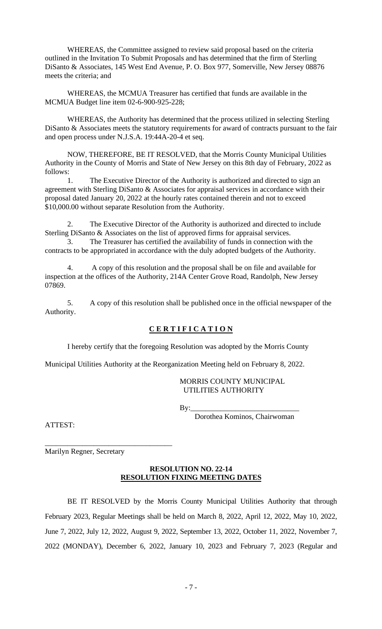WHEREAS, the Committee assigned to review said proposal based on the criteria outlined in the Invitation To Submit Proposals and has determined that the firm of Sterling DiSanto & Associates, 145 West End Avenue, P. O. Box 977, Somerville, New Jersey 08876 meets the criteria; and

WHEREAS, the MCMUA Treasurer has certified that funds are available in the MCMUA Budget line item 02-6-900-925-228;

WHEREAS, the Authority has determined that the process utilized in selecting Sterling DiSanto & Associates meets the statutory requirements for award of contracts pursuant to the fair and open process under N.J.S.A. 19:44A-20-4 et seq.

NOW, THEREFORE, BE IT RESOLVED, that the Morris County Municipal Utilities Authority in the County of Morris and State of New Jersey on this 8th day of February, 2022 as follows:

The Executive Director of the Authority is authorized and directed to sign an agreement with Sterling DiSanto & Associates for appraisal services in accordance with their proposal dated January 20, 2022 at the hourly rates contained therein and not to exceed \$10,000.00 without separate Resolution from the Authority.

2. The Executive Director of the Authority is authorized and directed to include Sterling DiSanto & Associates on the list of approved firms for appraisal services.

3. The Treasurer has certified the availability of funds in connection with the contracts to be appropriated in accordance with the duly adopted budgets of the Authority.

4. A copy of this resolution and the proposal shall be on file and available for inspection at the offices of the Authority, 214A Center Grove Road, Randolph, New Jersey 07869.

5. A copy of this resolution shall be published once in the official newspaper of the Authority.

# **C E R T I F I C A T I O N**

I hereby certify that the foregoing Resolution was adopted by the Morris County

Municipal Utilities Authority at the Reorganization Meeting held on February 8, 2022.

MORRIS COUNTY MUNICIPAL UTILITIES AUTHORITY

 $By:$ 

Dorothea Kominos, Chairwoman

ATTEST:

Marilyn Regner, Secretary

\_\_\_\_\_\_\_\_\_\_\_\_\_\_\_\_\_\_\_\_\_\_\_\_\_\_\_\_\_\_\_\_\_\_

#### **RESOLUTION NO. 22-14 RESOLUTION FIXING MEETING DATES**

BE IT RESOLVED by the Morris County Municipal Utilities Authority that through February 2023, Regular Meetings shall be held on March 8, 2022, April 12, 2022, May 10, 2022, June 7, 2022, July 12, 2022, August 9, 2022, September 13, 2022, October 11, 2022, November 7, 2022 (MONDAY), December 6, 2022, January 10, 2023 and February 7, 2023 (Regular and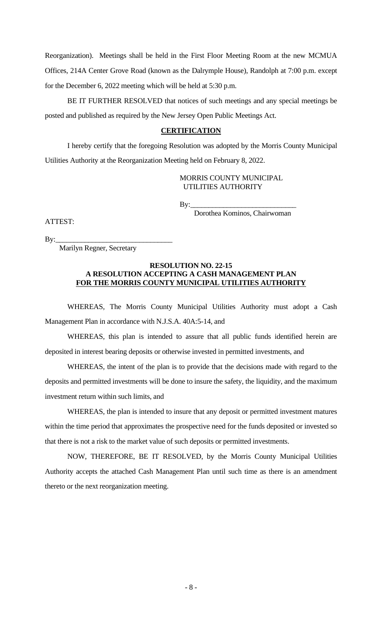Reorganization). Meetings shall be held in the First Floor Meeting Room at the new MCMUA Offices, 214A Center Grove Road (known as the Dalrymple House), Randolph at 7:00 p.m. except for the December 6, 2022 meeting which will be held at 5:30 p.m.

BE IT FURTHER RESOLVED that notices of such meetings and any special meetings be posted and published as required by the New Jersey Open Public Meetings Act.

## **CERTIFICATION**

I hereby certify that the foregoing Resolution was adopted by the Morris County Municipal Utilities Authority at the Reorganization Meeting held on February 8, 2022.

### MORRIS COUNTY MUNICIPAL UTILITIES AUTHORITY

By:\_\_\_\_\_\_\_\_\_\_\_\_\_\_\_\_\_\_\_\_\_\_\_\_\_\_\_\_\_

Dorothea Kominos, Chairwoman

By:\_\_\_\_\_\_\_\_\_\_\_\_\_\_\_\_\_\_\_\_\_\_\_\_\_\_\_\_\_\_\_\_

ATTEST:

Marilyn Regner, Secretary

#### **RESOLUTION NO. 22-15 A RESOLUTION ACCEPTING A CASH MANAGEMENT PLAN FOR THE MORRIS COUNTY MUNICIPAL UTILITIES AUTHORITY**

WHEREAS, The Morris County Municipal Utilities Authority must adopt a Cash Management Plan in accordance with N.J.S.A. 40A:5-14, and

WHEREAS, this plan is intended to assure that all public funds identified herein are deposited in interest bearing deposits or otherwise invested in permitted investments, and

WHEREAS, the intent of the plan is to provide that the decisions made with regard to the deposits and permitted investments will be done to insure the safety, the liquidity, and the maximum investment return within such limits, and

WHEREAS, the plan is intended to insure that any deposit or permitted investment matures within the time period that approximates the prospective need for the funds deposited or invested so that there is not a risk to the market value of such deposits or permitted investments.

NOW, THEREFORE, BE IT RESOLVED, by the Morris County Municipal Utilities Authority accepts the attached Cash Management Plan until such time as there is an amendment thereto or the next reorganization meeting.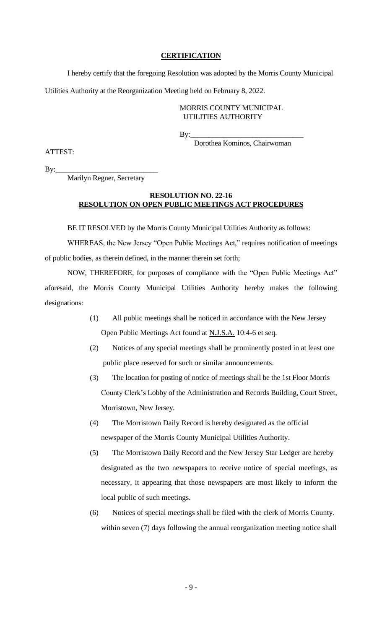#### **CERTIFICATION**

I hereby certify that the foregoing Resolution was adopted by the Morris County Municipal Utilities Authority at the Reorganization Meeting held on February 8, 2022.

#### MORRIS COUNTY MUNICIPAL UTILITIES AUTHORITY

By:\_\_\_\_\_\_\_\_\_\_\_\_\_\_\_\_\_\_\_\_\_\_\_\_\_\_\_\_\_\_\_

Dorothea Kominos, Chairwoman

ATTEST:

 $By:$ 

Marilyn Regner, Secretary

### **RESOLUTION NO. 22-16 RESOLUTION ON OPEN PUBLIC MEETINGS ACT PROCEDURES**

BE IT RESOLVED by the Morris County Municipal Utilities Authority as follows:

WHEREAS, the New Jersey "Open Public Meetings Act," requires notification of meetings of public bodies, as therein defined, in the manner therein set forth;

NOW, THEREFORE, for purposes of compliance with the "Open Public Meetings Act" aforesaid, the Morris County Municipal Utilities Authority hereby makes the following designations:

- (1) All public meetings shall be noticed in accordance with the New Jersey Open Public Meetings Act found at **N.J.S.A.** 10:4-6 et seq.
- (2) Notices of any special meetings shall be prominently posted in at least one public place reserved for such or similar announcements.
- (3) The location for posting of notice of meetings shall be the 1st Floor Morris County Clerk's Lobby of the Administration and Records Building, Court Street, Morristown, New Jersey.
- (4) The Morristown Daily Record is hereby designated as the official newspaper of the Morris County Municipal Utilities Authority.
- (5) The Morristown Daily Record and the New Jersey Star Ledger are hereby designated as the two newspapers to receive notice of special meetings, as necessary, it appearing that those newspapers are most likely to inform the local public of such meetings.
- (6) Notices of special meetings shall be filed with the clerk of Morris County. within seven (7) days following the annual reorganization meeting notice shall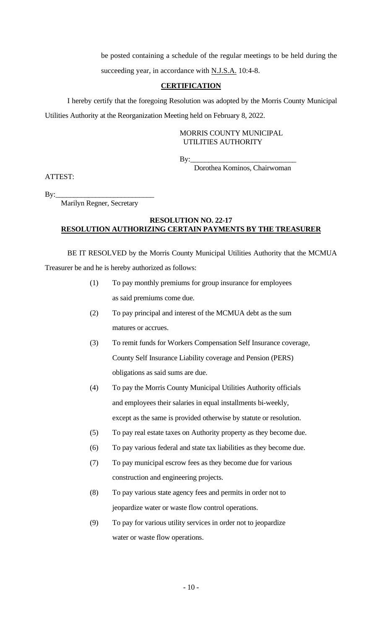be posted containing a schedule of the regular meetings to be held during the succeeding year, in accordance with N.J.S.A. 10:4-8.

### **CERTIFICATION**

I hereby certify that the foregoing Resolution was adopted by the Morris County Municipal Utilities Authority at the Reorganization Meeting held on February 8, 2022.

## MORRIS COUNTY MUNICIPAL UTILITIES AUTHORITY

By:\_\_\_\_\_\_\_\_\_\_\_\_\_\_\_\_\_\_\_\_\_\_\_\_\_\_\_\_\_

Dorothea Kominos, Chairwoman

ATTEST:

 $By:$ 

Marilyn Regner, Secretary

## **RESOLUTION NO. 22-17 RESOLUTION AUTHORIZING CERTAIN PAYMENTS BY THE TREASURER**

BE IT RESOLVED by the Morris County Municipal Utilities Authority that the MCMUA Treasurer be and he is hereby authorized as follows:

- (1) To pay monthly premiums for group insurance for employees as said premiums come due.
- (2) To pay principal and interest of the MCMUA debt as the sum matures or accrues.
- (3) To remit funds for Workers Compensation Self Insurance coverage, County Self Insurance Liability coverage and Pension (PERS) obligations as said sums are due.
- (4) To pay the Morris County Municipal Utilities Authority officials and employees their salaries in equal installments bi-weekly, except as the same is provided otherwise by statute or resolution.
- (5) To pay real estate taxes on Authority property as they become due.
- (6) To pay various federal and state tax liabilities as they become due.
- (7) To pay municipal escrow fees as they become due for various construction and engineering projects.
- (8) To pay various state agency fees and permits in order not to jeopardize water or waste flow control operations.
- (9) To pay for various utility services in order not to jeopardize water or waste flow operations.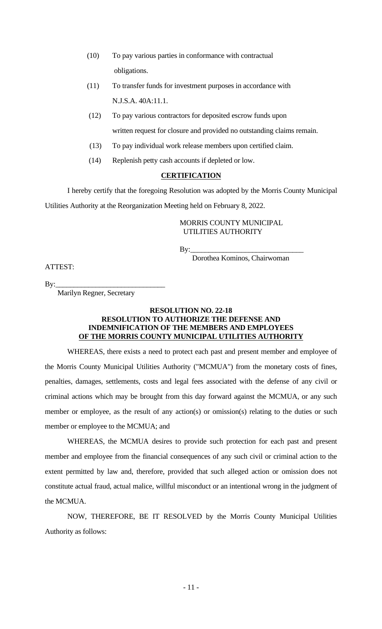- (10) To pay various parties in conformance with contractual obligations.
- (11) To transfer funds for investment purposes in accordance with N.J.S.A. 40A:11.1.
- (12) To pay various contractors for deposited escrow funds upon written request for closure and provided no outstanding claims remain.
- (13) To pay individual work release members upon certified claim.
- (14) Replenish petty cash accounts if depleted or low.

### **CERTIFICATION**

I hereby certify that the foregoing Resolution was adopted by the Morris County Municipal Utilities Authority at the Reorganization Meeting held on February 8, 2022.

> MORRIS COUNTY MUNICIPAL UTILITIES AUTHORITY

By:\_\_\_\_\_\_\_\_\_\_\_\_\_\_\_\_\_\_\_\_\_\_\_\_\_\_\_\_\_\_\_

ATTEST:

Dorothea Kominos, Chairwoman

By:\_\_\_\_\_\_\_\_\_\_\_\_\_\_\_\_\_\_\_\_\_\_\_\_\_\_\_\_\_\_

Marilyn Regner, Secretary

#### **RESOLUTION NO. 22-18 RESOLUTION TO AUTHORIZE THE DEFENSE AND INDEMNIFICATION OF THE MEMBERS AND EMPLOYEES OF THE MORRIS COUNTY MUNICIPAL UTILITIES AUTHORITY**

WHEREAS, there exists a need to protect each past and present member and employee of the Morris County Municipal Utilities Authority ("MCMUA") from the monetary costs of fines, penalties, damages, settlements, costs and legal fees associated with the defense of any civil or criminal actions which may be brought from this day forward against the MCMUA, or any such member or employee, as the result of any action(s) or omission(s) relating to the duties or such member or employee to the MCMUA; and

WHEREAS, the MCMUA desires to provide such protection for each past and present member and employee from the financial consequences of any such civil or criminal action to the extent permitted by law and, therefore, provided that such alleged action or omission does not constitute actual fraud, actual malice, willful misconduct or an intentional wrong in the judgment of the MCMUA.

NOW, THEREFORE, BE IT RESOLVED by the Morris County Municipal Utilities Authority as follows: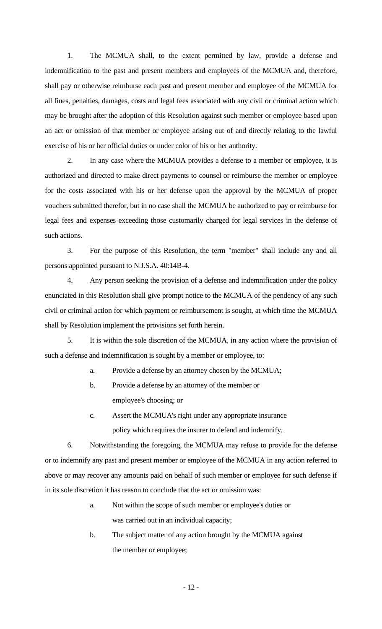1. The MCMUA shall, to the extent permitted by law, provide a defense and indemnification to the past and present members and employees of the MCMUA and, therefore, shall pay or otherwise reimburse each past and present member and employee of the MCMUA for all fines, penalties, damages, costs and legal fees associated with any civil or criminal action which may be brought after the adoption of this Resolution against such member or employee based upon an act or omission of that member or employee arising out of and directly relating to the lawful exercise of his or her official duties or under color of his or her authority.

2. In any case where the MCMUA provides a defense to a member or employee, it is authorized and directed to make direct payments to counsel or reimburse the member or employee for the costs associated with his or her defense upon the approval by the MCMUA of proper vouchers submitted therefor, but in no case shall the MCMUA be authorized to pay or reimburse for legal fees and expenses exceeding those customarily charged for legal services in the defense of such actions.

3. For the purpose of this Resolution, the term "member" shall include any and all persons appointed pursuant to N.J.S.A. 40:14B-4.

4. Any person seeking the provision of a defense and indemnification under the policy enunciated in this Resolution shall give prompt notice to the MCMUA of the pendency of any such civil or criminal action for which payment or reimbursement is sought, at which time the MCMUA shall by Resolution implement the provisions set forth herein.

5. It is within the sole discretion of the MCMUA, in any action where the provision of such a defense and indemnification is sought by a member or employee, to:

a. Provide a defense by an attorney chosen by the MCMUA;

- b. Provide a defense by an attorney of the member or employee's choosing; or
- c. Assert the MCMUA's right under any appropriate insurance policy which requires the insurer to defend and indemnify.

6. Notwithstanding the foregoing, the MCMUA may refuse to provide for the defense or to indemnify any past and present member or employee of the MCMUA in any action referred to above or may recover any amounts paid on behalf of such member or employee for such defense if in its sole discretion it has reason to conclude that the act or omission was:

- a. Not within the scope of such member or employee's duties or was carried out in an individual capacity;
- b. The subject matter of any action brought by the MCMUA against the member or employee;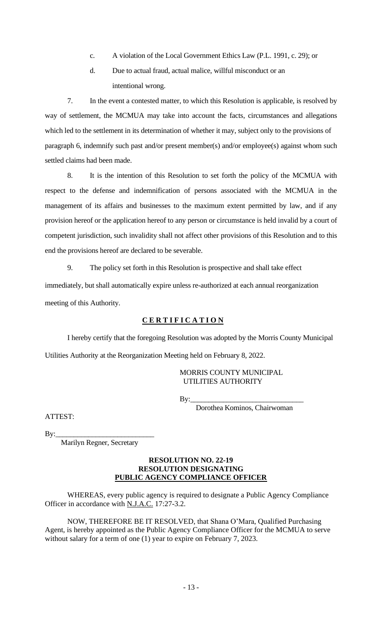- c. A violation of the Local Government Ethics Law (P.L. 1991, c. 29); or
- d. Due to actual fraud, actual malice, willful misconduct or an intentional wrong.

7. In the event a contested matter, to which this Resolution is applicable, is resolved by way of settlement, the MCMUA may take into account the facts, circumstances and allegations which led to the settlement in its determination of whether it may, subject only to the provisions of paragraph 6, indemnify such past and/or present member(s) and/or employee(s) against whom such settled claims had been made.

8. It is the intention of this Resolution to set forth the policy of the MCMUA with respect to the defense and indemnification of persons associated with the MCMUA in the management of its affairs and businesses to the maximum extent permitted by law, and if any provision hereof or the application hereof to any person or circumstance is held invalid by a court of competent jurisdiction, such invalidity shall not affect other provisions of this Resolution and to this end the provisions hereof are declared to be severable.

9. The policy set forth in this Resolution is prospective and shall take effect immediately, but shall automatically expire unless re-authorized at each annual reorganization meeting of this Authority.

### **C E R T I F I C A T I O N**

I hereby certify that the foregoing Resolution was adopted by the Morris County Municipal Utilities Authority at the Reorganization Meeting held on February 8, 2022.

> MORRIS COUNTY MUNICIPAL UTILITIES AUTHORITY

By:\_\_\_\_\_\_\_\_\_\_\_\_\_\_\_\_\_\_\_\_\_\_\_\_\_\_\_\_\_\_\_

Dorothea Kominos, Chairwoman

ATTEST:

By:

Marilyn Regner, Secretary

#### **RESOLUTION NO. 22-19 RESOLUTION DESIGNATING PUBLIC AGENCY COMPLIANCE OFFICER**

WHEREAS, every public agency is required to designate a Public Agency Compliance Officer in accordance with N.J.A.C. 17:27-3.2.

NOW, THEREFORE BE IT RESOLVED, that Shana O'Mara, Qualified Purchasing Agent, is hereby appointed as the Public Agency Compliance Officer for the MCMUA to serve without salary for a term of one (1) year to expire on February 7, 2023.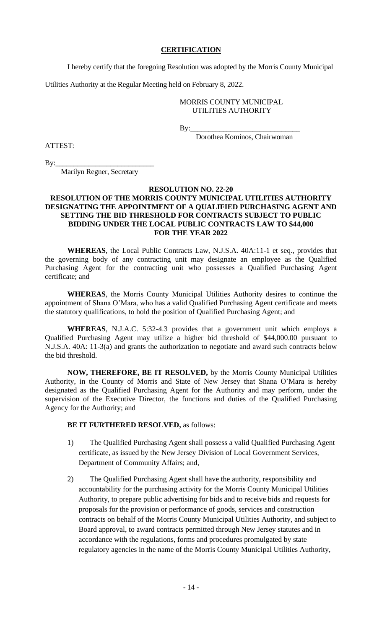### **CERTIFICATION**

I hereby certify that the foregoing Resolution was adopted by the Morris County Municipal

Utilities Authority at the Regular Meeting held on February 8, 2022.

### MORRIS COUNTY MUNICIPAL UTILITIES AUTHORITY

By:\_\_\_\_\_\_\_\_\_\_\_\_\_\_\_\_\_\_\_\_\_\_\_\_\_\_\_\_\_\_

Dorothea Kominos, Chairwoman

ATTEST:

 $\mathbf{By:}\_\_$ 

Marilyn Regner, Secretary

#### **RESOLUTION NO. 22-20**

### **RESOLUTION OF THE MORRIS COUNTY MUNICIPAL UTILITIES AUTHORITY DESIGNATING THE APPOINTMENT OF A QUALIFIED PURCHASING AGENT AND SETTING THE BID THRESHOLD FOR CONTRACTS SUBJECT TO PUBLIC BIDDING UNDER THE LOCAL PUBLIC CONTRACTS LAW TO \$44,000 FOR THE YEAR 2022**

**WHEREAS**, the Local Public Contracts Law, N.J.S.A. 40A:11-1 et seq., provides that the governing body of any contracting unit may designate an employee as the Qualified Purchasing Agent for the contracting unit who possesses a Qualified Purchasing Agent certificate; and

**WHEREAS**, the Morris County Municipal Utilities Authority desires to continue the appointment of Shana O'Mara, who has a valid Qualified Purchasing Agent certificate and meets the statutory qualifications, to hold the position of Qualified Purchasing Agent; and

**WHEREAS**, N.J.A.C. 5:32-4.3 provides that a government unit which employs a Qualified Purchasing Agent may utilize a higher bid threshold of \$44,000.00 pursuant to N.J.S.A. 40A: 11-3(a) and grants the authorization to negotiate and award such contracts below the bid threshold.

**NOW, THEREFORE, BE IT RESOLVED,** by the Morris County Municipal Utilities Authority, in the County of Morris and State of New Jersey that Shana O'Mara is hereby designated as the Qualified Purchasing Agent for the Authority and may perform, under the supervision of the Executive Director, the functions and duties of the Qualified Purchasing Agency for the Authority; and

### **BE IT FURTHERED RESOLVED,** as follows:

- 1) The Qualified Purchasing Agent shall possess a valid Qualified Purchasing Agent certificate, as issued by the New Jersey Division of Local Government Services, Department of Community Affairs; and,
- 2) The Qualified Purchasing Agent shall have the authority, responsibility and accountability for the purchasing activity for the Morris County Municipal Utilities Authority, to prepare public advertising for bids and to receive bids and requests for proposals for the provision or performance of goods, services and construction contracts on behalf of the Morris County Municipal Utilities Authority, and subject to Board approval, to award contracts permitted through New Jersey statutes and in accordance with the regulations, forms and procedures promulgated by state regulatory agencies in the name of the Morris County Municipal Utilities Authority,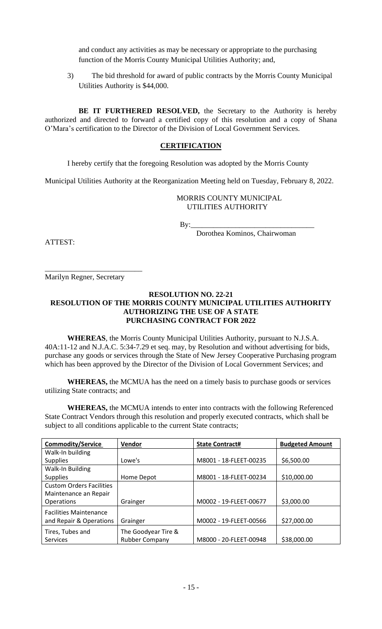and conduct any activities as may be necessary or appropriate to the purchasing function of the Morris County Municipal Utilities Authority; and,

3) The bid threshold for award of public contracts by the Morris County Municipal Utilities Authority is \$44,000.

**BE IT FURTHERED RESOLVED,** the Secretary to the Authority is hereby authorized and directed to forward a certified copy of this resolution and a copy of Shana O'Mara's certification to the Director of the Division of Local Government Services.

### **CERTIFICATION**

I hereby certify that the foregoing Resolution was adopted by the Morris County

Municipal Utilities Authority at the Reorganization Meeting held on Tuesday, February 8, 2022.

 MORRIS COUNTY MUNICIPAL UTILITIES AUTHORITY

By:\_\_\_\_\_\_\_\_\_\_\_\_\_\_\_\_\_\_\_\_\_\_\_\_\_\_\_\_\_\_\_\_\_

Dorothea Kominos, Chairwoman

ATTEST:

\_\_\_\_\_\_\_\_\_\_\_\_\_\_\_\_\_\_\_\_\_\_\_\_\_\_ Marilyn Regner, Secretary

### **RESOLUTION NO. 22-21 RESOLUTION OF THE MORRIS COUNTY MUNICIPAL UTILITIES AUTHORITY AUTHORIZING THE USE OF A STATE PURCHASING CONTRACT FOR 2022**

**WHEREAS**, the Morris County Municipal Utilities Authority, pursuant to N.J.S.A. 40A:11-12 and N.J.A.C. 5:34-7.29 et seq. may, by Resolution and without advertising for bids, purchase any goods or services through the State of New Jersey Cooperative Purchasing program which has been approved by the Director of the Division of Local Government Services; and

**WHEREAS,** the MCMUA has the need on a timely basis to purchase goods or services utilizing State contracts; and

**WHEREAS,** the MCMUA intends to enter into contracts with the following Referenced State Contract Vendors through this resolution and properly executed contracts, which shall be subject to all conditions applicable to the current State contracts;

| <b>Commodity/Service</b>        | Vendor                | <b>State Contract#</b> | <b>Budgeted Amount</b> |
|---------------------------------|-----------------------|------------------------|------------------------|
| Walk-In building                |                       |                        |                        |
| <b>Supplies</b>                 | Lowe's                | M8001 - 18-FLEET-00235 | \$6,500.00             |
| Walk-In Building                |                       |                        |                        |
| <b>Supplies</b>                 | Home Depot            | M8001 - 18-FLEET-00234 | \$10,000.00            |
| <b>Custom Orders Facilities</b> |                       |                        |                        |
| Maintenance an Repair           |                       |                        |                        |
| <b>Operations</b>               | Grainger              | M0002 - 19-FLEET-00677 | \$3,000.00             |
| <b>Facilities Maintenance</b>   |                       |                        |                        |
| and Repair & Operations         | Grainger              | M0002 - 19-FLEET-00566 | \$27,000.00            |
| Tires, Tubes and                | The Goodyear Tire &   |                        |                        |
| <b>Services</b>                 | <b>Rubber Company</b> | M8000 - 20-FLEET-00948 | \$38,000.00            |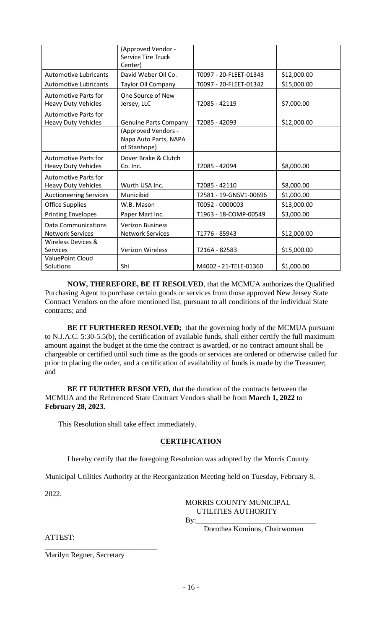|                               | (Approved Vendor -<br><b>Service Tire Truck</b> |                        |             |
|-------------------------------|-------------------------------------------------|------------------------|-------------|
| <b>Automotive Lubricants</b>  | Center)<br>David Weber Oil Co.                  |                        |             |
|                               |                                                 | T0097 - 20-FLEET-01343 | \$12,000.00 |
| <b>Automotive Lubricants</b>  | Taylor Oil Company                              | T0097 - 20-FLEET-01342 | \$15,000.00 |
| <b>Automotive Parts for</b>   | One Source of New                               |                        |             |
| <b>Heavy Duty Vehicles</b>    | Jersey, LLC                                     | T2085 - 42119          | \$7,000.00  |
| <b>Automotive Parts for</b>   |                                                 |                        |             |
| <b>Heavy Duty Vehicles</b>    | <b>Genuine Parts Company</b>                    | T2085 - 42093          | \$12,000.00 |
|                               | (Approved Vendors -<br>Napa Auto Parts, NAPA    |                        |             |
|                               | of Stanhope)                                    |                        |             |
| <b>Automotive Parts for</b>   | Dover Brake & Clutch                            |                        |             |
| <b>Heavy Duty Vehicles</b>    | Co. Inc.                                        | T2085 - 42094          | \$8,000.00  |
| <b>Automotive Parts for</b>   |                                                 |                        |             |
| <b>Heavy Duty Vehicles</b>    | Wurth USA Inc.                                  | T2085 - 42110          | \$8,000.00  |
| <b>Auctioneering Services</b> | Municibid                                       | T2581 - 19-GNSV1-00696 | \$1,000.00  |
| <b>Office Supplies</b>        | W.B. Mason                                      | T0052 - 0000003        | \$13,000.00 |
| <b>Printing Envelopes</b>     | Paper Mart Inc.                                 | T1963 - 18-COMP-00549  | \$3,000.00  |
| <b>Data Communications</b>    | <b>Verizon Business</b>                         |                        |             |
| <b>Network Services</b>       | <b>Network Services</b>                         | T1776 - 85943          | \$12,000.00 |
| Wireless Devices &            |                                                 |                        |             |
| <b>Services</b>               | <b>Verizon Wireless</b>                         | T216A - 82583          | \$15,000.00 |
| <b>ValuePoint Cloud</b>       |                                                 |                        |             |
| Solutions                     | Shi                                             | M4002 - 21-TELE-01360  | \$1,000.00  |

**NOW, THEREFORE, BE IT RESOLVED**, that the MCMUA authorizes the Qualified Purchasing Agent to purchase certain goods or services from those approved New Jersey State Contract Vendors on the afore mentioned list, pursuant to all conditions of the individual State contracts; and

**BE IT FURTHERED RESOLVED;** that the governing body of the MCMUA pursuant to N.J.A.C. 5:30-5.5(b), the certification of available funds, shall either certify the full maximum amount against the budget at the time the contract is awarded, or no contract amount shall be chargeable or certified until such time as the goods or services are ordered or otherwise called for prior to placing the order, and a certification of availability of funds is made by the Treasurer; and

**BE IT FURTHER RESOLVED,** that the duration of the contracts between the MCMUA and the Referenced State Contract Vendors shall be from **March 1, 2022** to **February 28, 2023.**

This Resolution shall take effect immediately.

### **CERTIFICATION**

I hereby certify that the foregoing Resolution was adopted by the Morris County

Municipal Utilities Authority at the Reorganization Meeting held on Tuesday, February 8,

2022.

# MORRIS COUNTY MUNICIPAL UTILITIES AUTHORITY

By:\_\_\_\_\_\_\_\_\_\_\_\_\_\_\_\_\_\_\_\_\_\_\_\_\_\_\_\_\_\_\_\_

Dorothea Kominos, Chairwoman

ATTEST:

Marilyn Regner, Secretary

\_\_\_\_\_\_\_\_\_\_\_\_\_\_\_\_\_\_\_\_\_\_\_\_\_\_\_\_\_\_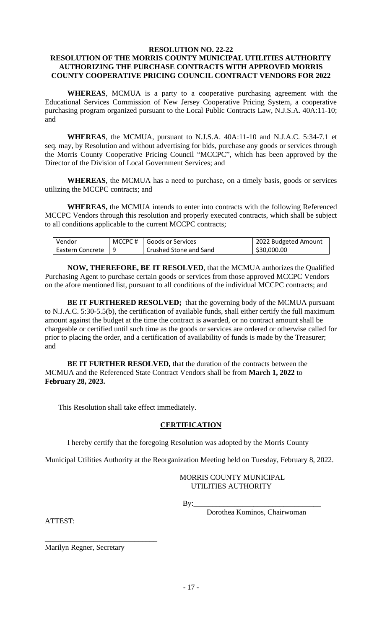#### **RESOLUTION NO. 22-22**

## **RESOLUTION OF THE MORRIS COUNTY MUNICIPAL UTILITIES AUTHORITY AUTHORIZING THE PURCHASE CONTRACTS WITH APPROVED MORRIS COUNTY COOPERATIVE PRICING COUNCIL CONTRACT VENDORS FOR 2022**

**WHEREAS**, MCMUA is a party to a cooperative purchasing agreement with the Educational Services Commission of New Jersey Cooperative Pricing System, a cooperative purchasing program organized pursuant to the Local Public Contracts Law, N.J.S.A. 40A:11-10; and

**WHEREAS**, the MCMUA, pursuant to N.J.S.A. 40A:11-10 and N.J.A.C. 5:34-7.1 et seq. may, by Resolution and without advertising for bids, purchase any goods or services through the Morris County Cooperative Pricing Council "MCCPC", which has been approved by the Director of the Division of Local Government Services; and

**WHEREAS**, the MCMUA has a need to purchase, on a timely basis, goods or services utilizing the MCCPC contracts; and

**WHEREAS,** the MCMUA intends to enter into contracts with the following Referenced MCCPC Vendors through this resolution and properly executed contracts, which shall be subject to all conditions applicable to the current MCCPC contracts;

| Vendor              | MCCPC# Goods or Services | 2022 Budgeted Amount |
|---------------------|--------------------------|----------------------|
| Eastern Concrete 19 | Crushed Stone and Sand   | \$30,000.00          |

**NOW, THEREFORE, BE IT RESOLVED**, that the MCMUA authorizes the Qualified Purchasing Agent to purchase certain goods or services from those approved MCCPC Vendors on the afore mentioned list, pursuant to all conditions of the individual MCCPC contracts; and

**BE IT FURTHERED RESOLVED;** that the governing body of the MCMUA pursuant to N.J.A.C. 5:30-5.5(b), the certification of available funds, shall either certify the full maximum amount against the budget at the time the contract is awarded, or no contract amount shall be chargeable or certified until such time as the goods or services are ordered or otherwise called for prior to placing the order, and a certification of availability of funds is made by the Treasurer; and

**BE IT FURTHER RESOLVED,** that the duration of the contracts between the MCMUA and the Referenced State Contract Vendors shall be from **March 1, 2022** to **February 28, 2023.**

This Resolution shall take effect immediately.

## **CERTIFICATION**

I hereby certify that the foregoing Resolution was adopted by the Morris County

Municipal Utilities Authority at the Reorganization Meeting held on Tuesday, February 8, 2022.

### MORRIS COUNTY MUNICIPAL UTILITIES AUTHORITY

By:\_\_\_\_\_\_\_\_\_\_\_\_\_\_\_\_\_\_\_\_\_\_\_\_\_\_\_\_\_\_\_\_\_\_

Dorothea Kominos, Chairwoman

ATTEST:

Marilyn Regner, Secretary

\_\_\_\_\_\_\_\_\_\_\_\_\_\_\_\_\_\_\_\_\_\_\_\_\_\_\_\_\_\_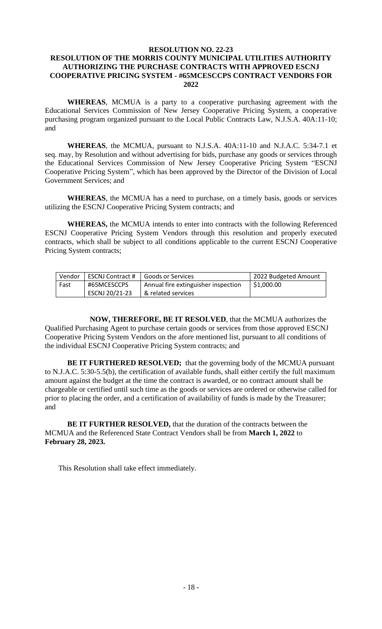### **RESOLUTION NO. 22-23 RESOLUTION OF THE MORRIS COUNTY MUNICIPAL UTILITIES AUTHORITY AUTHORIZING THE PURCHASE CONTRACTS WITH APPROVED ESCNJ COOPERATIVE PRICING SYSTEM - #65MCESCCPS CONTRACT VENDORS FOR 2022**

**WHEREAS**, MCMUA is a party to a cooperative purchasing agreement with the Educational Services Commission of New Jersey Cooperative Pricing System, a cooperative purchasing program organized pursuant to the Local Public Contracts Law, N.J.S.A. 40A:11-10; and

**WHEREAS**, the MCMUA, pursuant to N.J.S.A. 40A:11-10 and N.J.A.C. 5:34-7.1 et seq. may, by Resolution and without advertising for bids, purchase any goods or services through the Educational Services Commission of New Jersey Cooperative Pricing System "ESCNJ Cooperative Pricing System", which has been approved by the Director of the Division of Local Government Services; and

**WHEREAS**, the MCMUA has a need to purchase, on a timely basis, goods or services utilizing the ESCNJ Cooperative Pricing System contracts; and

**WHEREAS,** the MCMUA intends to enter into contracts with the following Referenced ESCNJ Cooperative Pricing System Vendors through this resolution and properly executed contracts, which shall be subject to all conditions applicable to the current ESCNJ Cooperative Pricing System contracts;

| Vendor | ESCNJ Contract # | Goods or Services                   | 2022 Budgeted Amount |
|--------|------------------|-------------------------------------|----------------------|
| l Fast | #65MCESCCPS      | Annual fire extinguisher inspection | $ $ \$1,000.00       |
|        | ESCNJ 20/21-23   | & related services                  |                      |

**NOW, THEREFORE, BE IT RESOLVED**, that the MCMUA authorizes the Qualified Purchasing Agent to purchase certain goods or services from those approved ESCNJ Cooperative Pricing System Vendors on the afore mentioned list, pursuant to all conditions of the individual ESCNJ Cooperative Pricing System contracts; and

**BE IT FURTHERED RESOLVED;** that the governing body of the MCMUA pursuant to N.J.A.C. 5:30-5.5(b), the certification of available funds, shall either certify the full maximum amount against the budget at the time the contract is awarded, or no contract amount shall be chargeable or certified until such time as the goods or services are ordered or otherwise called for prior to placing the order, and a certification of availability of funds is made by the Treasurer; and

**BE IT FURTHER RESOLVED,** that the duration of the contracts between the MCMUA and the Referenced State Contract Vendors shall be from **March 1, 2022** to **February 28, 2023.**

This Resolution shall take effect immediately.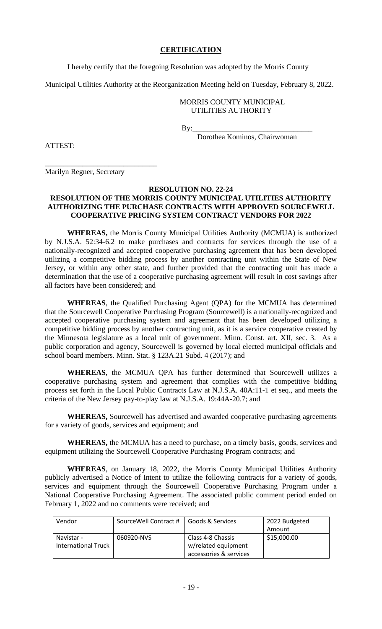### **CERTIFICATION**

I hereby certify that the foregoing Resolution was adopted by the Morris County

Municipal Utilities Authority at the Reorganization Meeting held on Tuesday, February 8, 2022.

### MORRIS COUNTY MUNICIPAL UTILITIES AUTHORITY

By:\_\_\_\_\_\_\_\_\_\_\_\_\_\_\_\_\_\_\_\_\_\_\_\_\_\_\_\_\_\_\_\_

Dorothea Kominos, Chairwoman

ATTEST:

Marilyn Regner, Secretary

\_\_\_\_\_\_\_\_\_\_\_\_\_\_\_\_\_\_\_\_\_\_\_\_\_\_\_\_\_\_

#### **RESOLUTION NO. 22-24**

### **RESOLUTION OF THE MORRIS COUNTY MUNICIPAL UTILITIES AUTHORITY AUTHORIZING THE PURCHASE CONTRACTS WITH APPROVED SOURCEWELL COOPERATIVE PRICING SYSTEM CONTRACT VENDORS FOR 2022**

**WHEREAS,** the Morris County Municipal Utilities Authority (MCMUA) is authorized by N.J.S.A. 52:34-6.2 to make purchases and contracts for services through the use of a nationally-recognized and accepted cooperative purchasing agreement that has been developed utilizing a competitive bidding process by another contracting unit within the State of New Jersey, or within any other state, and further provided that the contracting unit has made a determination that the use of a cooperative purchasing agreement will result in cost savings after all factors have been considered; and

**WHEREAS**, the Qualified Purchasing Agent (QPA) for the MCMUA has determined that the Sourcewell Cooperative Purchasing Program (Sourcewell) is a nationally-recognized and accepted cooperative purchasing system and agreement that has been developed utilizing a competitive bidding process by another contracting unit, as it is a service cooperative created by the Minnesota legislature as a local unit of government. Minn. Const. art. XII, sec. 3. As a public corporation and agency, Sourcewell is governed by local elected municipal officials and school board members. Minn. Stat. § 123A.21 Subd. 4 (2017); and

**WHEREAS**, the MCMUA QPA has further determined that Sourcewell utilizes a cooperative purchasing system and agreement that complies with the competitive bidding process set forth in the Local Public Contracts Law at N.J.S.A. 40A:11-1 et seq., and meets the criteria of the New Jersey pay-to-play law at N.J.S.A. 19:44A-20.7; and

**WHEREAS,** Sourcewell has advertised and awarded cooperative purchasing agreements for a variety of goods, services and equipment; and

**WHEREAS,** the MCMUA has a need to purchase, on a timely basis, goods, services and equipment utilizing the Sourcewell Cooperative Purchasing Program contracts; and

**WHEREAS**, on January 18, 2022, the Morris County Municipal Utilities Authority publicly advertised a Notice of Intent to utilize the following contracts for a variety of goods, services and equipment through the Sourcewell Cooperative Purchasing Program under a National Cooperative Purchasing Agreement. The associated public comment period ended on February 1, 2022 and no comments were received; and

| Vendor              | SourceWell Contract # | Goods & Services       | 2022 Budgeted |
|---------------------|-----------------------|------------------------|---------------|
|                     |                       |                        | Amount        |
| Navistar -          | 060920-NVS            | Class 4-8 Chassis      | \$15,000.00   |
| International Truck |                       | w/related equipment    |               |
|                     |                       | accessories & services |               |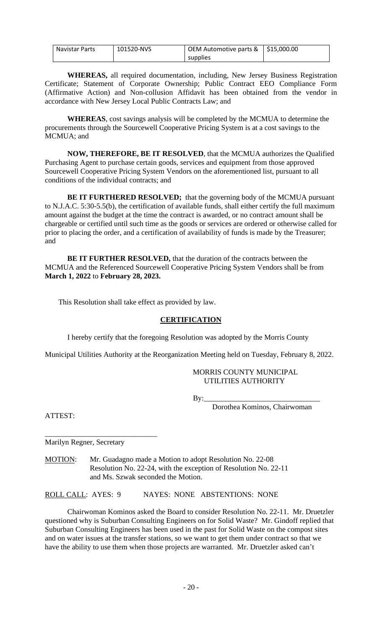| Navistar Parts | 101520-NVS | OEM Automotive parts $\&$ $\vert$ \$15,000.00 |  |
|----------------|------------|-----------------------------------------------|--|
|                |            | supplies                                      |  |

**WHEREAS,** all required documentation, including, New Jersey Business Registration Certificate; Statement of Corporate Ownership; Public Contract EEO Compliance Form (Affirmative Action) and Non-collusion Affidavit has been obtained from the vendor in accordance with New Jersey Local Public Contracts Law; and

**WHEREAS**, cost savings analysis will be completed by the MCMUA to determine the procurements through the Sourcewell Cooperative Pricing System is at a cost savings to the MCMUA; and

**NOW, THEREFORE, BE IT RESOLVED**, that the MCMUA authorizes the Qualified Purchasing Agent to purchase certain goods, services and equipment from those approved Sourcewell Cooperative Pricing System Vendors on the aforementioned list, pursuant to all conditions of the individual contracts; and

**BE IT FURTHERED RESOLVED;** that the governing body of the MCMUA pursuant to N.J.A.C. 5:30-5.5(b), the certification of available funds, shall either certify the full maximum amount against the budget at the time the contract is awarded, or no contract amount shall be chargeable or certified until such time as the goods or services are ordered or otherwise called for prior to placing the order, and a certification of availability of funds is made by the Treasurer; and

**BE IT FURTHER RESOLVED,** that the duration of the contracts between the MCMUA and the Referenced Sourcewell Cooperative Pricing System Vendors shall be from **March 1, 2022** to **February 28, 2023.**

This Resolution shall take effect as provided by law.

### **CERTIFICATION**

I hereby certify that the foregoing Resolution was adopted by the Morris County

Municipal Utilities Authority at the Reorganization Meeting held on Tuesday, February 8, 2022.

### MORRIS COUNTY MUNICIPAL UTILITIES AUTHORITY

By:\_\_\_\_\_\_\_\_\_\_\_\_\_\_\_\_\_\_\_\_\_\_\_\_\_\_\_\_\_\_\_

Dorothea Kominos, Chairwoman

ATTEST:

Marilyn Regner, Secretary

\_\_\_\_\_\_\_\_\_\_\_\_\_\_\_\_\_\_\_\_\_\_\_\_\_\_\_\_\_\_

MOTION: Mr. Guadagno made a Motion to adopt Resolution No. 22-08 Resolution No. 22-24, with the exception of Resolution No. 22-11 and Ms. Szwak seconded the Motion.

ROLL CALL: AYES: 9 NAYES: NONE ABSTENTIONS: NONE

Chairwoman Kominos asked the Board to consider Resolution No. 22-11. Mr. Druetzler questioned why is Suburban Consulting Engineers on for Solid Waste? Mr. Gindoff replied that Suburban Consulting Engineers has been used in the past for Solid Waste on the compost sites and on water issues at the transfer stations, so we want to get them under contract so that we have the ability to use them when those projects are warranted. Mr. Druetzler asked can't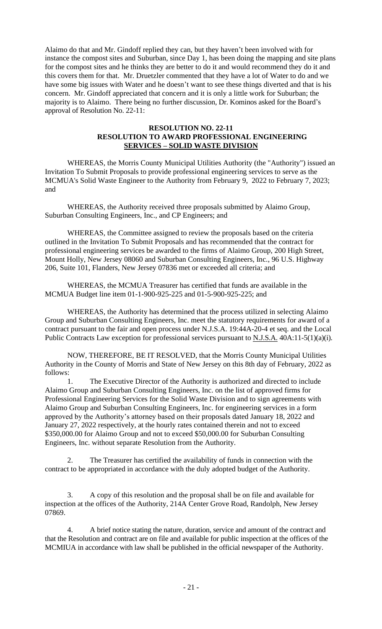Alaimo do that and Mr. Gindoff replied they can, but they haven't been involved with for instance the compost sites and Suburban, since Day 1, has been doing the mapping and site plans for the compost sites and he thinks they are better to do it and would recommend they do it and this covers them for that. Mr. Druetzler commented that they have a lot of Water to do and we have some big issues with Water and he doesn't want to see these things diverted and that is his concern. Mr. Gindoff appreciated that concern and it is only a little work for Suburban; the majority is to Alaimo. There being no further discussion, Dr. Kominos asked for the Board's approval of Resolution No. 22-11:

### **RESOLUTION NO. 22-11 RESOLUTION TO AWARD PROFESSIONAL ENGINEERING SERVICES – SOLID WASTE DIVISION**

WHEREAS, the Morris County Municipal Utilities Authority (the "Authority") issued an Invitation To Submit Proposals to provide professional engineering services to serve as the MCMUA's Solid Waste Engineer to the Authority from February 9, 2022 to February 7, 2023; and

WHEREAS, the Authority received three proposals submitted by Alaimo Group, Suburban Consulting Engineers, Inc., and CP Engineers; and

WHEREAS, the Committee assigned to review the proposals based on the criteria outlined in the Invitation To Submit Proposals and has recommended that the contract for professional engineering services be awarded to the firms of Alaimo Group, 200 High Street, Mount Holly, New Jersey 08060 and Suburban Consulting Engineers, Inc., 96 U.S. Highway 206, Suite 101, Flanders, New Jersey 07836 met or exceeded all criteria; and

WHEREAS, the MCMUA Treasurer has certified that funds are available in the MCMUA Budget line item 01-1-900-925-225 and 01-5-900-925-225; and

WHEREAS, the Authority has determined that the process utilized in selecting Alaimo Group and Suburban Consulting Engineers, Inc. meet the statutory requirements for award of a contract pursuant to the fair and open process under N.J.S.A. 19:44A-20-4 et seq. and the Local Public Contracts Law exception for professional services pursuant to N.J.S.A. 40A:11-5(1)(a)(i).

NOW, THEREFORE, BE IT RESOLVED, that the Morris County Municipal Utilities Authority in the County of Morris and State of New Jersey on this 8th day of February, 2022 as follows:

The Executive Director of the Authority is authorized and directed to include Alaimo Group and Suburban Consulting Engineers, Inc. on the list of approved firms for Professional Engineering Services for the Solid Waste Division and to sign agreements with Alaimo Group and Suburban Consulting Engineers, Inc. for engineering services in a form approved by the Authority's attorney based on their proposals dated January 18, 2022 and January 27, 2022 respectively, at the hourly rates contained therein and not to exceed \$350,000.00 for Alaimo Group and not to exceed \$50,000.00 for Suburban Consulting Engineers, Inc. without separate Resolution from the Authority.

2. The Treasurer has certified the availability of funds in connection with the contract to be appropriated in accordance with the duly adopted budget of the Authority.

3. A copy of this resolution and the proposal shall be on file and available for inspection at the offices of the Authority, 214A Center Grove Road, Randolph, New Jersey 07869.

4. A brief notice stating the nature, duration, service and amount of the contract and that the Resolution and contract are on file and available for public inspection at the offices of the MCMIUA in accordance with law shall be published in the official newspaper of the Authority.